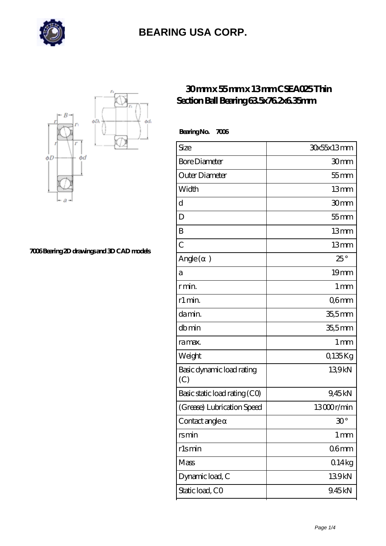



**[7006 Bearing 2D drawings and 3D CAD models](https://m.hathaykhongbanghayhat.org/pic-677398.html)**

#### **[30 mm x 55 mm x 13 mm CSEA025 Thin](https://m.hathaykhongbanghayhat.org/by-677398-csea025-thin-section-ball-bearing-63-5x76-2x6-35mm.html) [Section Ball Bearing 63.5x76.2x6.35mm](https://m.hathaykhongbanghayhat.org/by-677398-csea025-thin-section-ball-bearing-63-5x76-2x6-35mm.html)**

 **Bearing No. 7006**

| Size                             | 30x55x13mm        |
|----------------------------------|-------------------|
| <b>Bore Diameter</b>             | 30mm              |
| Outer Diameter                   | $55$ mm           |
| Width                            | 13mm              |
| d                                | 30mm              |
| D                                | $55$ mm           |
| B                                | 13mm              |
| $\overline{C}$                   | 13mm              |
| Angle (<br>$\mathcal{E}$         | $25^{\circ}$      |
| а                                | 19mm              |
| r min.                           | 1 <sub>mm</sub>   |
| r1 min.                          | Q6mm              |
| da min.                          | $355$ mm          |
| dbmin                            | $355$ mm          |
| ra max.                          | 1 <sub>mm</sub>   |
| Weight                           | 0,135Kg           |
| Basic dynamic load rating<br>(C) | 139kN             |
| Basic static load rating (CO)    | 9,45kN            |
| (Grease) Lubrication Speed       | 13000r/min        |
| Contact angle                    | $30^{\circ}$      |
| rsmin                            | $1 \,\mathrm{mm}$ |
| rlsmin                           | 06 <sub>mm</sub>  |
| Mass                             | 014kg             |
| Dynamic load, C                  | 139kN             |
| Static load, CO                  | 9.45kN            |
|                                  |                   |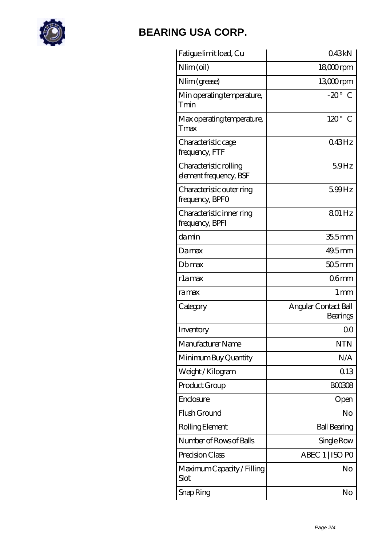

| Fatigue limit load, Cu                           | 043kN                            |
|--------------------------------------------------|----------------------------------|
| Nlim (oil)                                       | $1800$ rpm                       |
| Nlim (grease)                                    | 13,000rpm                        |
| Min operating temperature,<br>Tmin               | $-20^\circ$ C                    |
| Max operating temperature,<br>Tmax               | $120^\circ$<br>C                 |
| Characteristic cage<br>frequency, FTF            | 043Hz                            |
| Characteristic rolling<br>element frequency, BSF | 59Hz                             |
| Characteristic outer ring<br>frequency, BPFO     | 599Hz                            |
| Characteristic inner ring<br>frequency, BPFI     | 801 Hz                           |
| damin                                            | 355mm                            |
| Damax                                            | 49.5mm                           |
| Dbmax                                            | $505$ mm                         |
| rlamax                                           | 06 <sub>mm</sub>                 |
| ra max                                           | 1 mm                             |
| Category                                         | Angular Contact Ball<br>Bearings |
| Inventory                                        | QΟ                               |
| Manufacturer Name                                | <b>NTN</b>                       |
| Minimum Buy Quantity                             | N/A                              |
| Weight / Kilogram                                | Q13                              |
| Product Group                                    | <b>BOO308</b>                    |
| Enclosure                                        | Open                             |
| Flush Ground                                     | No                               |
| Rolling Element                                  | <b>Ball Bearing</b>              |
| Number of Rows of Balls                          | Single Row                       |
|                                                  |                                  |
| Precision Class                                  | ABEC 1   ISO PO                  |
| Maximum Capacity / Filling<br>Slot               | No                               |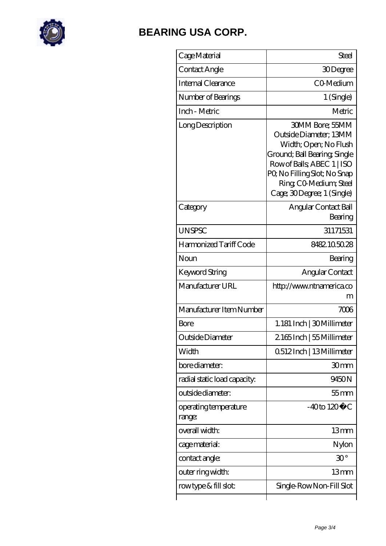

| Cage Material                   | Steel                                                                                                                                                                                                                         |
|---------------------------------|-------------------------------------------------------------------------------------------------------------------------------------------------------------------------------------------------------------------------------|
| Contact Angle                   | 30Degree                                                                                                                                                                                                                      |
| Internal Clearance              | CO-Medium                                                                                                                                                                                                                     |
| Number of Bearings              | 1 (Single)                                                                                                                                                                                                                    |
| Inch - Metric                   | Metric                                                                                                                                                                                                                        |
| Long Description                | <b>30MM Bore: 55MM</b><br>Outside Diameter; 13MM<br>Width; Open; No Flush<br>Ground; Ball Bearing, Single<br>Row of Balls, ABEC 1   ISO<br>PQ No Filling Slot; No Snap<br>Ring CO Medium; Steel<br>Cage; 30Degree; 1 (Single) |
| Category                        | Angular Contact Ball<br>Bearing                                                                                                                                                                                               |
| <b>UNSPSC</b>                   | 31171531                                                                                                                                                                                                                      |
| Harmonized Tariff Code          | 8482.1050.28                                                                                                                                                                                                                  |
| Noun                            | Bearing                                                                                                                                                                                                                       |
| Keyword String                  | Angular Contact                                                                                                                                                                                                               |
| Manufacturer URL                | http://www.ntnamerica.co<br>m                                                                                                                                                                                                 |
| Manufacturer Item Number        | 7006                                                                                                                                                                                                                          |
| Bore                            | 1.181 Inch   30 Millimeter                                                                                                                                                                                                    |
| Outside Diameter                | 2165Inch   55 Millimeter                                                                                                                                                                                                      |
| Width                           | 0512Inch   13Millimeter                                                                                                                                                                                                       |
| bore diameter:                  | 30mm                                                                                                                                                                                                                          |
| radial static load capacity:    | 9450N                                                                                                                                                                                                                         |
| outside diameter:               | $55$ mm                                                                                                                                                                                                                       |
| operating temperature<br>range: | $-40$ to $120^{\circ}$ C                                                                                                                                                                                                      |
| overall width:                  | 13mm                                                                                                                                                                                                                          |
| cage material:                  | Nylon                                                                                                                                                                                                                         |
| contact angle:                  | $30^{\circ}$                                                                                                                                                                                                                  |
| outer ring width:               | 13mm                                                                                                                                                                                                                          |
| rowtype & fill slot:            | Single Row Non-Fill Slot                                                                                                                                                                                                      |